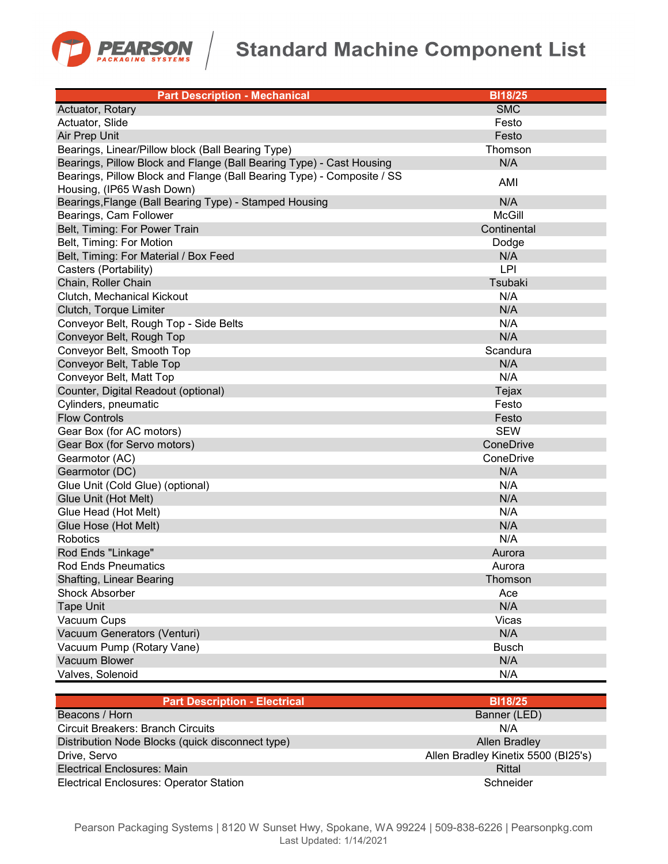

## **Standard Machine Component List**

| <b>Part Description - Mechanical</b>                                   | <b>BI18/25</b> |
|------------------------------------------------------------------------|----------------|
| Actuator, Rotary                                                       | <b>SMC</b>     |
| Actuator, Slide                                                        | Festo          |
| Air Prep Unit                                                          | Festo          |
| Bearings, Linear/Pillow block (Ball Bearing Type)                      | Thomson        |
| Bearings, Pillow Block and Flange (Ball Bearing Type) - Cast Housing   | N/A            |
| Bearings, Pillow Block and Flange (Ball Bearing Type) - Composite / SS | AMI            |
| Housing, (IP65 Wash Down)                                              |                |
| Bearings, Flange (Ball Bearing Type) - Stamped Housing                 | N/A            |
| Bearings, Cam Follower                                                 | <b>McGill</b>  |
| Belt, Timing: For Power Train                                          | Continental    |
| Belt, Timing: For Motion                                               | Dodge          |
| Belt, Timing: For Material / Box Feed                                  | N/A            |
| Casters (Portability)                                                  | <b>LPI</b>     |
| Chain, Roller Chain                                                    | Tsubaki        |
| Clutch, Mechanical Kickout                                             | N/A            |
| Clutch, Torque Limiter                                                 | N/A            |
| Conveyor Belt, Rough Top - Side Belts                                  | N/A            |
| Conveyor Belt, Rough Top                                               | N/A            |
| Conveyor Belt, Smooth Top                                              | Scandura       |
| Conveyor Belt, Table Top                                               | N/A            |
| Conveyor Belt, Matt Top                                                | N/A            |
| Counter, Digital Readout (optional)                                    | Tejax          |
| Cylinders, pneumatic                                                   | Festo          |
| <b>Flow Controls</b>                                                   | Festo          |
| Gear Box (for AC motors)                                               | <b>SEW</b>     |
| Gear Box (for Servo motors)                                            | ConeDrive      |
| Gearmotor (AC)                                                         | ConeDrive      |
| Gearmotor (DC)                                                         | N/A            |
| Glue Unit (Cold Glue) (optional)                                       | N/A            |
| Glue Unit (Hot Melt)                                                   | N/A            |
| Glue Head (Hot Melt)                                                   | N/A            |
| Glue Hose (Hot Melt)                                                   | N/A            |
| Robotics                                                               | N/A            |
| Rod Ends "Linkage"                                                     | Aurora         |
| <b>Rod Ends Pneumatics</b>                                             | Aurora         |
| Shafting, Linear Bearing                                               | Thomson        |
| <b>Shock Absorber</b>                                                  | Ace            |
| <b>Tape Unit</b>                                                       | N/A            |
| Vacuum Cups                                                            | Vicas          |
| Vacuum Generators (Venturi)                                            | N/A            |
| Vacuum Pump (Rotary Vane)                                              | <b>Busch</b>   |
| Vacuum Blower                                                          | N/A            |
| Valves, Solenoid                                                       | N/A            |

| <b>Part Description - Electrical</b>             | <b>BI18/25</b>                      |
|--------------------------------------------------|-------------------------------------|
| Beacons / Horn                                   | Banner (LED)                        |
| <b>Circuit Breakers: Branch Circuits</b>         | N/A                                 |
| Distribution Node Blocks (quick disconnect type) | Allen Bradley                       |
| Drive, Servo                                     | Allen Bradley Kinetix 5500 (BI25's) |
| Electrical Enclosures: Main                      | Rittal                              |
| <b>Electrical Enclosures: Operator Station</b>   | Schneider                           |